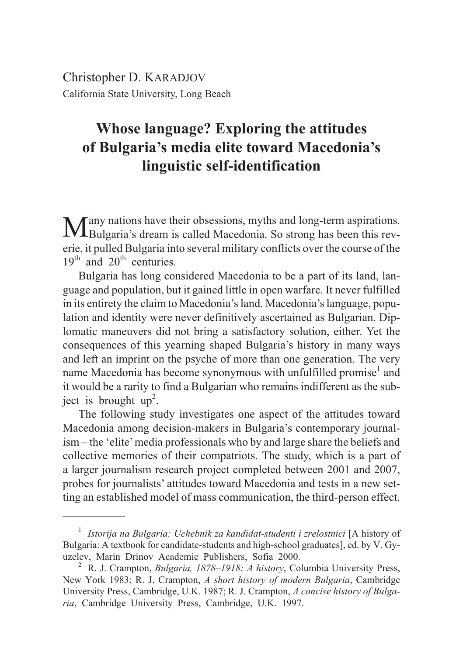Christopher D. KARADJOV California State University, Long Beach

# **Whose language? Exploring the attitudes of Bulgaria's media elite toward Macedonia's linguistic self-identification**

Many nations have their obsessions, myths and long-term aspirations. Bulgaria's dream is called Macedonia. So strong has been this reverie, it pulled Bulgaria into several military conflicts over the course of the  $19<sup>th</sup>$  and  $20<sup>th</sup>$  centuries.

Bulgaria has long considered Macedonia to be a part of its land, language and population, but it gained little in open warfare. It never fulfilled in its entirety the claim to Macedonia's land. Macedonia's language, population and identity were never definitively ascertained as Bulgarian. Diplomatic maneuvers did not bring a satisfactory solution, either. Yet the consequences of this yearning shaped Bulgaria's history in many ways and left an imprint on the psyche of more than one generation. The very name Macedonia has become synonymous with unfulfilled promise<sup>1</sup> and it would be a rarity to find a Bulgarian who remains indifferent as the subject is brought  $up^2$ .

The following study investigates one aspect of the attitudes toward Macedonia among decision-makers in Bulgaria's contemporary journalism – the 'elite'media professionals who by and large share the beliefs and collective memories of their compatriots. The study, which is a part of a larger journalism research project completed between 2001 and 2007, probes for journalists' attitudes toward Macedonia and tests in a new setting an established model of mass communication, the third-person effect.

<sup>1</sup> *Istorija na Bulgaria: Uchebnik za kandidat-studenti i zrelostnici* [A history of Bulgaria: A textbook for candidate-students and high-school graduates], ed. by V. Gy-

<sup>&</sup>lt;sup>2</sup> R. J. Crampton, *Bulgaria, 1878–1918: A history*, Columbia University Press, New York 1983; R. J. Crampton, *A short history of modern Bulgaria*, Cambridge University Press, Cambridge, U.K. 1987; R. J. Crampton, *A concise history of Bulgaria*, Cambridge University Press, Cambridge, U.K. 1997.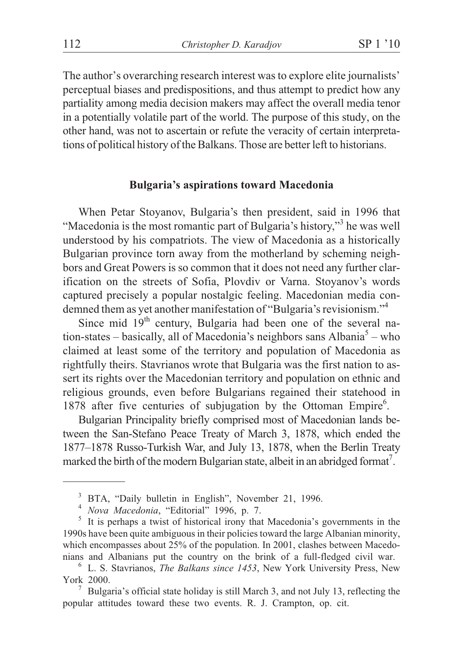The author's overarching research interest was to explore elite journalists' perceptual biases and predispositions, and thus attempt to predict how any partiality among media decision makers may affect the overall media tenor in a potentially volatile part of the world. The purpose of this study, on the other hand, was not to ascertain or refute the veracity of certain interpretations of political history of the Balkans. Those are better left to historians.

### **Bulgaria's aspirations toward Macedonia**

When Petar Stoyanov, Bulgaria's then president, said in 1996 that "Macedonia is the most romantic part of Bulgaria's history,"<sup>3</sup> he was well understood by his compatriots. The view of Macedonia as a historically Bulgarian province torn away from the motherland by scheming neighbors and Great Powers is so common that it does not need any further clarification on the streets of Sofia, Plovdiv or Varna. Stoyanov's words captured precisely a popular nostalgic feeling. Macedonian media condemned them as yet another manifestation of "Bulgaria's revisionism."<sup>4</sup>

Since mid  $19<sup>th</sup>$  century, Bulgaria had been one of the several nation-states – basically, all of Macedonia's neighbors sans Albania<sup>5</sup> – who claimed at least some of the territory and population of Macedonia as rightfully theirs. Stavrianos wrote that Bulgaria was the first nation to assert its rights over the Macedonian territory and population on ethnic and religious grounds, even before Bulgarians regained their statehood in 1878 after five centuries of subjugation by the Ottoman Empire<sup>6</sup>.

Bulgarian Principality briefly comprised most of Macedonian lands between the San-Stefano Peace Treaty of March 3, 1878, which ended the 1877–1878 Russo-Turkish War, and July 13, 1878, when the Berlin Treaty marked the birth of the modern Bulgarian state, albeit in an abridged format<sup>7</sup>.

<sup>&</sup>lt;sup>3</sup> BTA, "Daily bulletin in English", November 21, 1996.<br><sup>4</sup> *Nova Macedonia*, "Editorial" 1996, p. 7.<br><sup>5</sup> It is perhaps a twist of historical irony that Macedonia's governments in the 1990s have been quite ambiguous in their policies toward the large Albanian minority, which encompasses about 25% of the population. In 2001, clashes between Macedonians and Albanians put the country on the brink of a full-fledged civil war. <sup>6</sup> L. S. Stavrianos, *The Balkans since 1453*, New York University Press, New

York 2000.<br><sup>7</sup> Bulgaria's official state holiday is still March 3, and not July 13, reflecting the

popular attitudes toward these two events. R. J. Crampton, op. cit.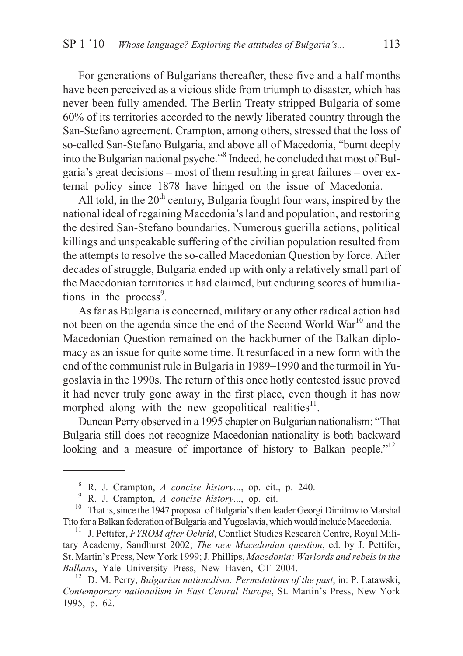For generations of Bulgarians thereafter, these five and a half months have been perceived as a vicious slide from triumph to disaster, which has never been fully amended. The Berlin Treaty stripped Bulgaria of some 60% of its territories accorded to the newly liberated country through the San-Stefano agreement. Crampton, among others, stressed that the loss of so-called San-Stefano Bulgaria, and above all of Macedonia, "burnt deeply into the Bulgarian national psyche."8 Indeed, he concluded that most of Bulgaria's great decisions – most of them resulting in great failures – over external policy since 1878 have hinged on the issue of Macedonia.

All told, in the  $20<sup>th</sup>$  century, Bulgaria fought four wars, inspired by the national ideal of regaining Macedonia's land and population, and restoring the desired San-Stefano boundaries. Numerous guerilla actions, political killings and unspeakable suffering of the civilian population resulted from the attempts to resolve the so-called Macedonian Question by force. After decades of struggle, Bulgaria ended up with only a relatively small part of the Macedonian territories it had claimed, but enduring scores of humiliations in the process<sup>9</sup>.

As far as Bulgaria is concerned, military or any other radical action had not been on the agenda since the end of the Second World War<sup>10</sup> and the Macedonian Question remained on the backburner of the Balkan diplomacy as an issue for quite some time. It resurfaced in a new form with the end of the communist rule in Bulgaria in 1989–1990 and the turmoil in Yugoslavia in the 1990s. The return of this once hotly contested issue proved it had never truly gone away in the first place, even though it has now morphed along with the new geopolitical realities $11$ .

Duncan Perry observed in a 1995 chapter on Bulgarian nationalism: "That Bulgaria still does not recognize Macedonian nationality is both backward looking and a measure of importance of history to Balkan people."<sup>12</sup>

<sup>&</sup>lt;sup>8</sup> R. J. Crampton, *A concise history...*, op. cit., p. 240.<br><sup>9</sup> R. J. Crampton, *A concise history...*, op. cit.<br><sup>10</sup> That is, since the 1947 proposal of Bulgaria's then leader Georgi Dimitrov to Marshal Tito for a Balkan federation of Bulgaria and Yugoslavia, which would include Macedonia. <sup>11</sup> J. Pettifer, *FYROM after Ochrid*, Conflict Studies Research Centre, Royal Mili-

tary Academy, Sandhurst 2002; *The new Macedonian question*, ed. by J. Pettifer, St. Martin's Press, New York 1999; J. Phillips, *Macedonia: Warlords and rebels in the Balkans*, Yale University Press, New Haven, CT 2004.<br><sup>12</sup> D. M. Perry, *Bulgarian nationalism: Permutations of the past*, in: P. Latawski,

*Contemporary nationalism in East Central Europe*, St. Martin's Press, New York 1995, p. 62.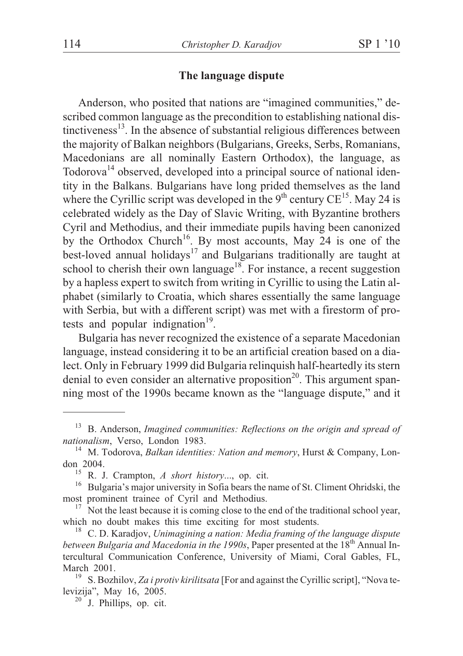## **The language dispute**

Anderson, who posited that nations are "imagined communities," described common language as the precondition to establishing national distinctiveness<sup>13</sup>. In the absence of substantial religious differences between the majority of Balkan neighbors (Bulgarians, Greeks, Serbs, Romanians, Macedonians are all nominally Eastern Orthodox), the language, as Todorova<sup>14</sup> observed, developed into a principal source of national identity in the Balkans. Bulgarians have long prided themselves as the land where the Cyrillic script was developed in the  $9<sup>th</sup>$  century CE<sup>15</sup>. May 24 is celebrated widely as the Day of Slavic Writing, with Byzantine brothers Cyril and Methodius, and their immediate pupils having been canonized by the Orthodox Church<sup>16</sup>. By most accounts, May 24 is one of the best-loved annual holidays<sup>17</sup> and Bulgarians traditionally are taught at school to cherish their own language<sup>18</sup>. For instance, a recent suggestion by a hapless expert to switch from writing in Cyrillic to using the Latin alphabet (similarly to Croatia, which shares essentially the same language with Serbia, but with a different script) was met with a firestorm of protests and popular indignation $19$ .

Bulgaria has never recognized the existence of a separate Macedonian language, instead considering it to be an artificial creation based on a dialect. Only in February 1999 did Bulgaria relinquish half-heartedly its stern denial to even consider an alternative proposition<sup>20</sup>. This argument spanning most of the 1990s became known as the "language dispute," and it

<sup>&</sup>lt;sup>13</sup> B. Anderson, *Imagined communities: Reflections on the origin and spread of nationalism*, Verso, London 1983.

<sup>&</sup>lt;sup>14</sup> M. Todorova, *Balkan identities: Nation and memory*, Hurst & Company, Lon-

don 2004.<br><sup>15</sup> R. J. Crampton, *A short history*..., op. cit.<br><sup>16</sup> Bulgaria's major university in Sofia bears the name of St. Climent Ohridski, the

most prominent trainee of Cyril and Methodius.<br><sup>17</sup> Not the least because it is coming close to the end of the traditional school year,<br>which no doubt makes this time exciting for most students.

<sup>&</sup>lt;sup>18</sup> C. D. Karadjov, *Unimagining a nation: Media framing of the language dispute between Bulgaria and Macedonia in the 1990s*, Paper presented at the 18<sup>th</sup> Annual Intercultural Communication Conference, University of Miami, Coral Gables, FL,

March 2001.<br><sup>19</sup> S. Bozhilov, *Za i protiv kirilitsata* [For and against the Cyrillic script], "Nova te-<br>levizija", May 16, 2005.

 $20$ <sup>20</sup> J. Phillips, op. cit.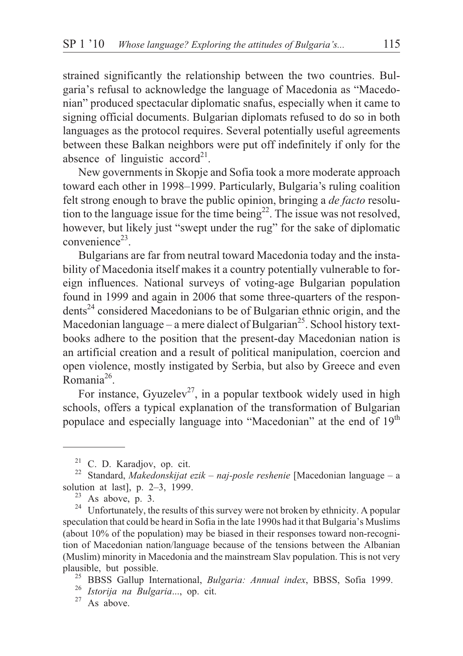strained significantly the relationship between the two countries. Bulgaria's refusal to acknowledge the language of Macedonia as "Macedonian" produced spectacular diplomatic snafus, especially when it came to signing official documents. Bulgarian diplomats refused to do so in both languages as the protocol requires. Several potentially useful agreements between these Balkan neighbors were put off indefinitely if only for the absence of linguistic  $\operatorname{accord}^{21}$ .

New governments in Skopje and Sofia took a more moderate approach toward each other in 1998–1999. Particularly, Bulgaria's ruling coalition felt strong enough to brave the public opinion, bringing a *de facto* resolution to the language issue for the time being<sup>22</sup>. The issue was not resolved, however, but likely just "swept under the rug" for the sake of diplomatic convenience<sup>23</sup>.

Bulgarians are far from neutral toward Macedonia today and the instability of Macedonia itself makes it a country potentially vulnerable to foreign influences. National surveys of voting-age Bulgarian population found in 1999 and again in 2006 that some three-quarters of the respon $dents<sup>24</sup> considered Macedonians to be of Bulgaria ethnic origin, and the$ Macedonian language – a mere dialect of Bulgarian<sup>25</sup>. School history textbooks adhere to the position that the present-day Macedonian nation is an artificial creation and a result of political manipulation, coercion and open violence, mostly instigated by Serbia, but also by Greece and even  $\n **Romania<sup>26</sup>**\n$ 

For instance, Gyuzelev<sup>27</sup>, in a popular textbook widely used in high schools, offers a typical explanation of the transformation of Bulgarian populace and especially language into "Macedonian" at the end of 19<sup>th</sup>

<sup>&</sup>lt;sup>21</sup> C. D. Karadjov, op. cit.<br><sup>22</sup> Standard, *Makedonskijat ezik – naj-posle reshenie* [Macedonian language – a

solution at last], p. 2–3, 1999.<br><sup>23</sup> As above, p. 3. <br><sup>24</sup> Unfortunately, the results of this survey were not broken by ethnicity. A popular speculation that could be heard in Sofia in the late 1990s had it that Bulgaria's Muslims (about 10% of the population) may be biased in their responses toward non-recognition of Macedonian nation/language because of the tensions between the Albanian (Muslim) minority in Macedonia and the mainstream Slav population. This is not very plausible, but possible. <sup>25</sup> BBSS Gallup International, *Bulgaria: Annual index*, BBSS, Sofia 1999. <sup>26</sup> *Istorija na Bulgaria*..., op. cit. <sup>27</sup> As above.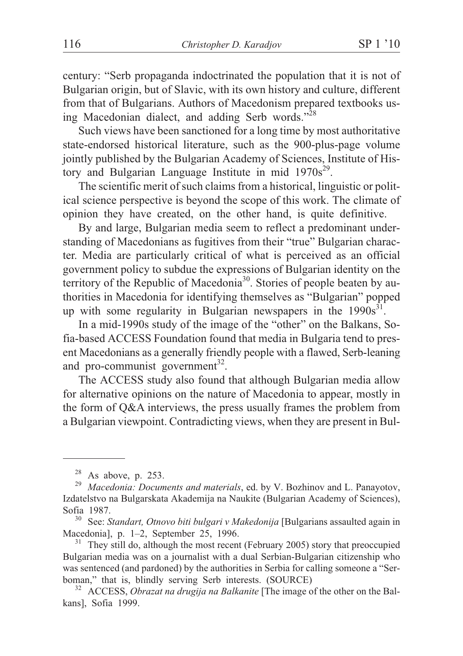century: "Serb propaganda indoctrinated the population that it is not of Bulgarian origin, but of Slavic, with its own history and culture, different from that of Bulgarians. Authors of Macedonism prepared textbooks using Macedonian dialect, and adding Serb words."<sup>28</sup>

Such views have been sanctioned for a long time by most authoritative state-endorsed historical literature, such as the 900-plus-page volume jointly published by the Bulgarian Academy of Sciences, Institute of History and Bulgarian Language Institute in mid  $1970s^{29}$ .

The scientific merit of such claims from a historical, linguistic or political science perspective is beyond the scope of this work. The climate of opinion they have created, on the other hand, is quite definitive.

By and large, Bulgarian media seem to reflect a predominant understanding of Macedonians as fugitives from their "true" Bulgarian character. Media are particularly critical of what is perceived as an official government policy to subdue the expressions of Bulgarian identity on the territory of the Republic of Macedonia<sup>30</sup>. Stories of people beaten by authorities in Macedonia for identifying themselves as "Bulgarian" popped up with some regularity in Bulgarian newspapers in the  $1990s<sup>31</sup>$ .

In a mid-1990s study of the image of the "other" on the Balkans, Sofia-based ACCESS Foundation found that media in Bulgaria tend to present Macedonians as a generally friendly people with a flawed, Serb-leaning and pro-communist government $^{32}$ .

The ACCESS study also found that although Bulgarian media allow for alternative opinions on the nature of Macedonia to appear, mostly in the form of Q&A interviews, the press usually frames the problem from a Bulgarian viewpoint. Contradicting views, when they are present in Bul-

<sup>28</sup> As above, p. 253. <sup>29</sup> *Macedonia: Documents and materials*, ed. by V. Bozhinov and L. Panayotov, Izdatelstvo na Bulgarskata Akademija na Naukite (Bulgarian Academy of Sciences),

Sofia 1987. <sup>30</sup> See: *Standart, Otnovo biti bulgari v Makedonija* [Bulgarians assaulted again in

 $31$  They still do, although the most recent (February 2005) story that preoccupied Bulgarian media was on a journalist with a dual Serbian-Bulgarian citizenship who was sentenced (and pardoned) by the authorities in Serbia for calling someone a "Serbianar" that is, blindly serving Serb interests. (SOURCE)

<sup>&</sup>lt;sup>32</sup> ACCESS, *Obrazat na drugija na Balkanite* [The image of the other on the Balkans], Sofia 1999.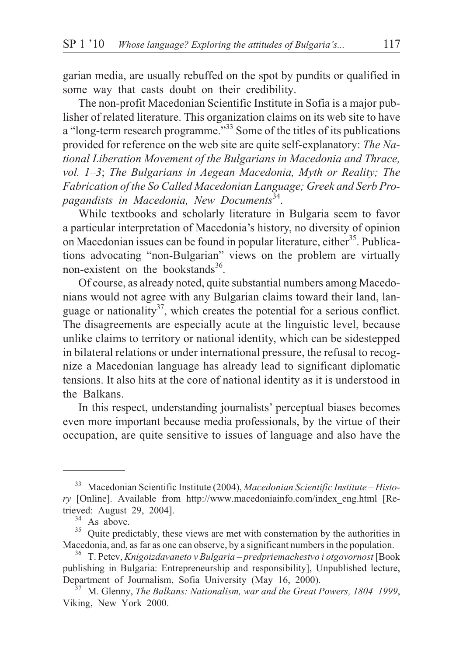garian media, are usually rebuffed on the spot by pundits or qualified in some way that casts doubt on their credibility.

The non-profit Macedonian Scientific Institute in Sofia is a major publisher of related literature. This organization claims on its web site to have a "long-term research programme."<sup>33</sup> Some of the titles of its publications provided for reference on the web site are quite self-explanatory: *The National Liberation Movement of the Bulgarians in Macedonia and Thrace, vol. 1–3*; *The Bulgarians in Aegean Macedonia, Myth or Reality; The Fabrication of the So Called Macedonian Language; Greek and Serb Propagandists in Macedonia, New Documents*34.

While textbooks and scholarly literature in Bulgaria seem to favor a particular interpretation of Macedonia's history, no diversity of opinion on Macedonian issues can be found in popular literature, either<sup>35</sup>. Publications advocating "non-Bulgarian" views on the problem are virtually non-existent on the bookstands $36$ .

Of course, as already noted, quite substantial numbers among Macedonians would not agree with any Bulgarian claims toward their land, language or nationality<sup>37</sup>, which creates the potential for a serious conflict. The disagreements are especially acute at the linguistic level, because unlike claims to territory or national identity, which can be sidestepped in bilateral relations or under international pressure, the refusal to recognize a Macedonian language has already lead to significant diplomatic tensions. It also hits at the core of national identity as it is understood in the Balkans.

In this respect, understanding journalists' perceptual biases becomes even more important because media professionals, by the virtue of their occupation, are quite sensitive to issues of language and also have the

<sup>33</sup> Macedonian Scientific Institute (2004), *Macedonian Scientific Institute – History* [Online]. Available from http://www.macedoniainfo.com/index\_eng.html [Retrieved: August 29, 2004].<br><sup>34</sup> As above.<br><sup>35</sup> Quite predictably, these views are met with consternation by the authorities in

Macedonia, and, as far as one can observe, by a significant numbers in the population. <sup>36</sup> T. Petev, *Knigoizdavaneto v Bulgaria – predpriemachestvo i otgovornost* [Book

publishing in Bulgaria: Entrepreneurship and responsibility], Unpublished lecture, Department of Journalism, Sofia University (May 16, 2000). <sup>37</sup> M. Glenny, *The Balkans: Nationalism, war and the Great Powers, 1804–1999*,

Viking, New York 2000.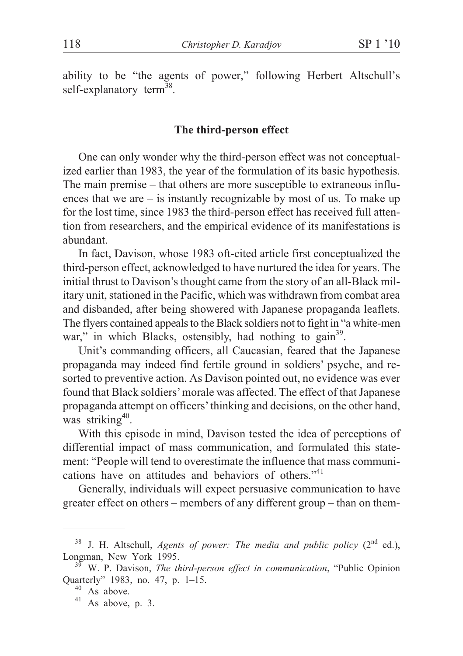ability to be "the agents of power," following Herbert Altschull's self-explanatory term<sup>38</sup>.

#### **The third-person effect**

One can only wonder why the third-person effect was not conceptualized earlier than 1983, the year of the formulation of its basic hypothesis. The main premise – that others are more susceptible to extraneous influences that we are – is instantly recognizable by most of us. To make up for the lost time, since 1983 the third-person effect has received full attention from researchers, and the empirical evidence of its manifestations is abundant.

In fact, Davison, whose 1983 oft-cited article first conceptualized the third-person effect, acknowledged to have nurtured the idea for years. The initial thrust to Davison's thought came from the story of an all-Black military unit, stationed in the Pacific, which was withdrawn from combat area and disbanded, after being showered with Japanese propaganda leaflets. The flyers contained appeals to the Black soldiers not to fight in "a white-men war," in which Blacks, ostensibly, had nothing to gain<sup>39</sup>.

Unit's commanding officers, all Caucasian, feared that the Japanese propaganda may indeed find fertile ground in soldiers' psyche, and resorted to preventive action. As Davison pointed out, no evidence was ever found that Black soldiers'morale was affected. The effect of that Japanese propaganda attempt on officers'thinking and decisions, on the other hand, was striking<sup>40</sup>.

With this episode in mind, Davison tested the idea of perceptions of differential impact of mass communication, and formulated this statement: "People will tend to overestimate the influence that mass communications have on attitudes and behaviors of others."<sup>41</sup>

Generally, individuals will expect persuasive communication to have greater effect on others – members of any different group – than on them-

 $38$  J. H. Altschull, *Agents of power: The media and public policy* ( $2<sup>nd</sup>$  ed.), Longman, New York 1995. <sup>39</sup> W. P. Davison, *The third-person effect in communication*, "Public Opinion

Quarterly" 1983, no. 47, p. 1–15.<br><sup>40</sup> As above.<br><sup>41</sup> As above, p. 3.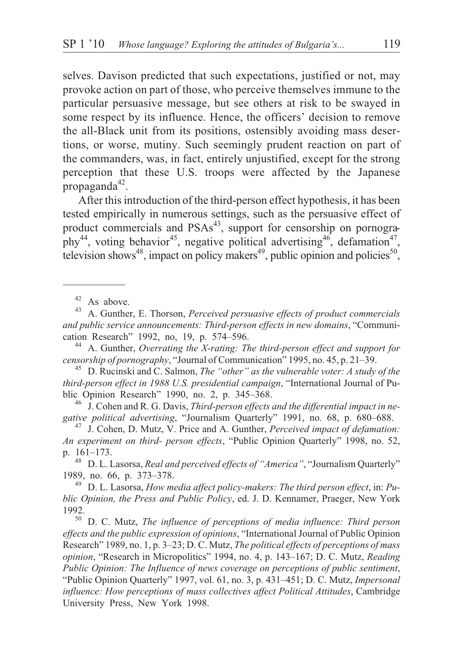selves. Davison predicted that such expectations, justified or not, may provoke action on part of those, who perceive themselves immune to the particular persuasive message, but see others at risk to be swayed in some respect by its influence. Hence, the officers' decision to remove the all-Black unit from its positions, ostensibly avoiding mass desertions, or worse, mutiny. Such seemingly prudent reaction on part of the commanders, was, in fact, entirely unjustified, except for the strong perception that these U.S. troops were affected by the Japanese propaganda $42$ .

After this introduction of the third-person effect hypothesis, it has been tested empirically in numerous settings, such as the persuasive effect of product commercials and  $PSAs<sup>43</sup>$ , support for censorship on pornography<sup>44</sup>, voting behavior<sup>45</sup>, negative political advertising<sup>46</sup>, defamation<sup>47</sup>, television shows<sup>48</sup>, impact on policy makers<sup>49</sup>, public opinion and policies<sup>50</sup>,

<sup>44</sup> A. Gunther, *Overrating the X-rating: The third-person effect and support for censorship of pornography, "Journal of Communication" 1995, no. 45, p. 21–39.* 

<sup>45</sup> D. Rucinski and C. Salmon, *The "other" as the vulnerable voter: A study of the third-person effect in 1988 U.S. presidential campaign*, "International Journal of Pu-<br>blic Opinion Research" 1990, no. 2, p. 345–368.

<sup>46</sup> J. Cohen and R. G. Davis, *Third-person effects and the differential impact in negative political advertising, "Journalism Quarterly" 1991, no. 68, p. 680–688.* 

<sup>47</sup> J. Cohen, D. Mutz, V. Price and A. Gunther, *Perceived impact of defamation: An experiment on third- person effects*, "Public Opinion Quarterly" 1998, no. 52,

p. 161–173. <sup>48</sup> D. L. Lasorsa, *Real and perceived effects of "America"*, "Journalism Quarterly" 1989, no. 66, p. 373–378. <sup>49</sup> D. L. Lasorsa, *How media affect policy-makers: The third person effect*, in: *Pu-*

*blic Opinion, the Press and Public Policy*, ed. J. D. Kennamer, Praeger, New York

<sup>50</sup> D. C. Mutz, *The influence of perceptions of media influence: Third person effects and the public expression of opinions*, "International Journal of Public Opinion Research" 1989, no. 1, p. 3–23; D. C. Mutz, *The political effects of perceptions of mass opinion*, "Research in Micropolitics" 1994, no. 4, p. 143–167; D. C. Mutz, *Reading Public Opinion: The Influence of news coverage on perceptions of public sentiment*, "Public Opinion Quarterly" 1997, vol. 61, no. 3, p. 431–451; D. C. Mutz, *Impersonal influence: How perceptions of mass collectives affect Political Attitudes*, Cambridge University Press, New York 1998.

<sup>&</sup>lt;sup>42</sup> As above.<br><sup>43</sup> A. Gunther, E. Thorson, *Perceived persuasive effects of product commercials and public service announcements: Third-person effects in new domains*, "Communi-<br>cation Research" 1992, no, 19, p. 574–596.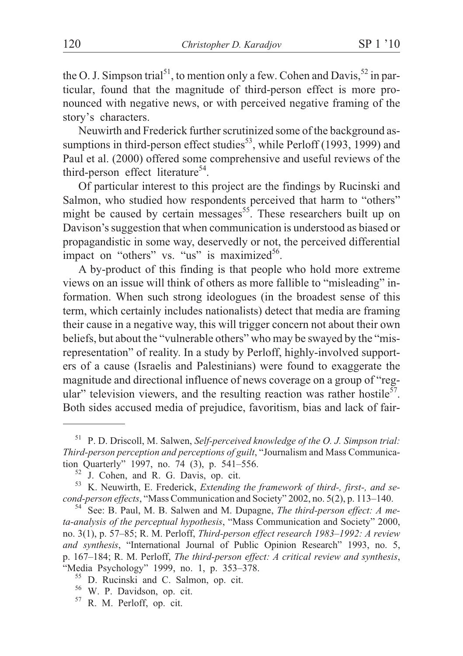the O. J. Simpson trial<sup>51</sup>, to mention only a few. Cohen and Davis,  $52$  in particular, found that the magnitude of third-person effect is more pronounced with negative news, or with perceived negative framing of the story's characters.

Neuwirth and Frederick further scrutinized some of the background assumptions in third-person effect studies<sup>53</sup>, while Perloff (1993, 1999) and Paul et al. (2000) offered some comprehensive and useful reviews of the third-person effect literature<sup>54</sup>.

Of particular interest to this project are the findings by Rucinski and Salmon, who studied how respondents perceived that harm to "others" might be caused by certain messages<sup>55</sup>. These researchers built up on Davison's suggestion that when communication is understood as biased or propagandistic in some way, deservedly or not, the perceived differential impact on "others" vs. "us" is maximized $56$ .

A by-product of this finding is that people who hold more extreme views on an issue will think of others as more fallible to "misleading" information. When such strong ideologues (in the broadest sense of this term, which certainly includes nationalists) detect that media are framing their cause in a negative way, this will trigger concern not about their own beliefs, but about the "vulnerable others" who may be swayed by the "misrepresentation" of reality. In a study by Perloff, highly-involved supporters of a cause (Israelis and Palestinians) were found to exaggerate the magnitude and directional influence of news coverage on a group of "regular" television viewers, and the resulting reaction was rather hostile<sup>57</sup>. Both sides accused media of prejudice, favoritism, bias and lack of fair-

<sup>51</sup> P. D. Driscoll, M. Salwen, *Self-perceived knowledge of the O. J. Simpson trial: Third-person perception and perceptions of guilt*, "Journalism and Mass Communication Quarterly" 1997, no. 74 (3), p. 541–556.<br><sup>52</sup> J. Cohen, and R. G. Davis, op. cit.<br><sup>53</sup> K. Neuwirth, E. Frederick, *Extending the framework of third-, first-, and se-*

*cond-person effects*, "Mass Communication and Society" 2002, no. 5(2), p. 113–140.<br><sup>54</sup> See: B. Paul, M. B. Salwen and M. Dupagne, *The third-person effect: A me-*

*ta-analysis of the perceptual hypothesis*, "Mass Communication and Society" 2000, no. 3(1), p. 57–85; R. M. Perloff, *Third-person effect research 1983–1992: A review and synthesis*, "International Journal of Public Opinion Research" 1993, no. 5, p. 167–184; R. M. Perloff, *The third-person effect: A critical review and synthesis*,

<sup>&</sup>lt;sup>55</sup> D. Rucinski and C. Salmon, op. cit. <sup>56</sup> W. P. Davidson, op. cit. 57 R. M. Perloff, op. cit.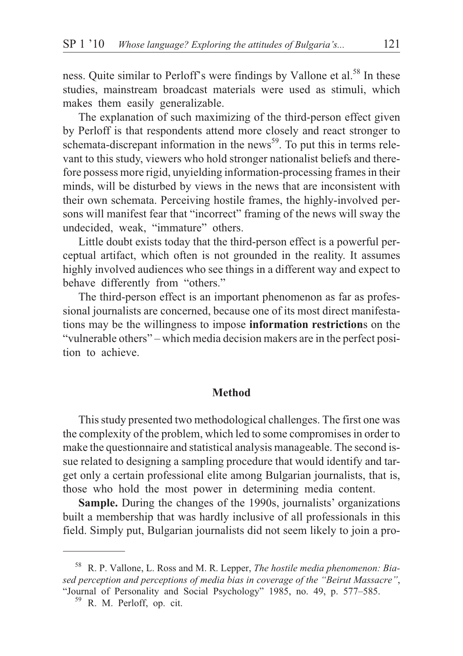ness. Quite similar to Perloff's were findings by Vallone et al.<sup>58</sup> In these studies, mainstream broadcast materials were used as stimuli, which makes them easily generalizable.

The explanation of such maximizing of the third-person effect given by Perloff is that respondents attend more closely and react stronger to schemata-discrepant information in the news<sup>59</sup>. To put this in terms relevant to this study, viewers who hold stronger nationalist beliefs and therefore possess more rigid, unyielding information-processing frames in their minds, will be disturbed by views in the news that are inconsistent with their own schemata. Perceiving hostile frames, the highly-involved persons will manifest fear that "incorrect" framing of the news will sway the undecided, weak, "immature" others.

Little doubt exists today that the third-person effect is a powerful perceptual artifact, which often is not grounded in the reality. It assumes highly involved audiences who see things in a different way and expect to behave differently from "others."

The third-person effect is an important phenomenon as far as professional journalists are concerned, because one of its most direct manifestations may be the willingness to impose **information restriction**s on the "vulnerable others" – which media decision makers are in the perfect position to achieve.

#### **Method**

This study presented two methodological challenges. The first one was the complexity of the problem, which led to some compromises in order to make the questionnaire and statistical analysis manageable. The second issue related to designing a sampling procedure that would identify and target only a certain professional elite among Bulgarian journalists, that is, those who hold the most power in determining media content.

**Sample.** During the changes of the 1990s, journalists' organizations built a membership that was hardly inclusive of all professionals in this field. Simply put, Bulgarian journalists did not seem likely to join a pro-

<sup>58</sup> R. P. Vallone, L. Ross and M. R. Lepper, *The hostile media phenomenon: Biased perception and perceptions of media bias in coverage of the "Beirut Massacre"*, "Journal of Personality and Social Psychology" 1985, no. 49, p. 577–585. <sup>59</sup> R. M. Perloff, op. cit.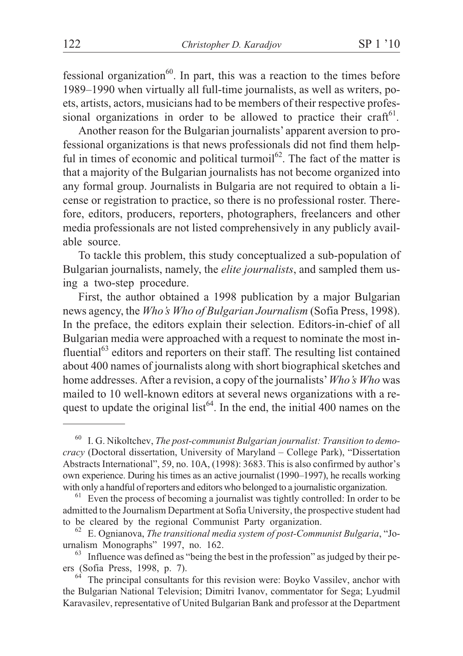fessional organization<sup>60</sup>. In part, this was a reaction to the times before 1989–1990 when virtually all full-time journalists, as well as writers, poets, artists, actors, musicians had to be members of their respective professional organizations in order to be allowed to practice their craft $61$ .

Another reason for the Bulgarian journalists' apparent aversion to professional organizations is that news professionals did not find them helpful in times of economic and political turmoil<sup>62</sup>. The fact of the matter is that a majority of the Bulgarian journalists has not become organized into any formal group. Journalists in Bulgaria are not required to obtain a license or registration to practice, so there is no professional roster. Therefore, editors, producers, reporters, photographers, freelancers and other media professionals are not listed comprehensively in any publicly available source.

To tackle this problem, this study conceptualized a sub-population of Bulgarian journalists, namely, the *elite journalists*, and sampled them using a two-step procedure.

First, the author obtained a 1998 publication by a major Bulgarian news agency, the *Who's Who of Bulgarian Journalism* (Sofia Press, 1998). In the preface, the editors explain their selection. Editors-in-chief of all Bulgarian media were approached with a request to nominate the most influential $^{63}$  editors and reporters on their staff. The resulting list contained about 400 names of journalists along with short biographical sketches and home addresses. After a revision, a copy of the journalists'*Who's Who* was mailed to 10 well-known editors at several news organizations with a request to update the original list<sup>64</sup>. In the end, the initial 400 names on the

<sup>60</sup> I. G. Nikoltchev, *The post-communist Bulgarian journalist: Transition to democracy* (Doctoral dissertation, University of Maryland – College Park), "Dissertation Abstracts International", 59, no. 10A, (1998): 3683. This is also confirmed by author's own experience. During his times as an active journalist (1990–1997), he recalls working with only a handful of reporters and editors who belonged to a journalistic organization.

 $61$  Even the process of becoming a journalist was tightly controlled: In order to be admitted to the Journalism Department at Sofia University, the prospective student had to be cleared by the regional Communist Party organization.

<sup>&</sup>lt;sup>62</sup> E. Ognianova, *The transitional media system of post-Communist Bulgaria*, "Jo-<br>urnalism Monographs" 1997, no. 162.

 $63$  Influence was defined as "being the best in the profession" as judged by their peers (Sofia Press, 1998, p. 7).<br><sup>64</sup> The principal consultants for this revision were: Boyko Vassilev, anchor with

the Bulgarian National Television; Dimitri Ivanov, commentator for Sega; Lyudmil Karavasilev, representative of United Bulgarian Bank and professor at the Department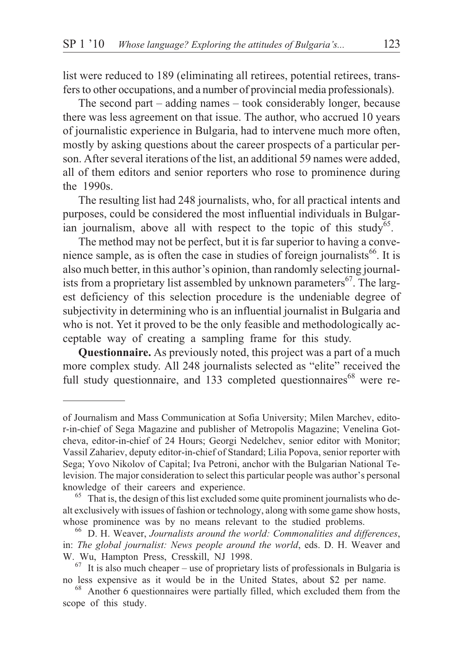list were reduced to 189 (eliminating all retirees, potential retirees, transfers to other occupations, and a number of provincial media professionals).

The second part – adding names – took considerably longer, because there was less agreement on that issue. The author, who accrued 10 years of journalistic experience in Bulgaria, had to intervene much more often, mostly by asking questions about the career prospects of a particular person. After several iterations of the list, an additional 59 names were added, all of them editors and senior reporters who rose to prominence during the 1990s.

The resulting list had 248 journalists, who, for all practical intents and purposes, could be considered the most influential individuals in Bulgarian journalism, above all with respect to the topic of this study<sup>65</sup>.

The method may not be perfect, but it is far superior to having a convenience sample, as is often the case in studies of foreign journalists<sup>66</sup>. It is also much better, in this author's opinion, than randomly selecting journalists from a proprietary list assembled by unknown parameters<sup>67</sup>. The largest deficiency of this selection procedure is the undeniable degree of subjectivity in determining who is an influential journalist in Bulgaria and who is not. Yet it proved to be the only feasible and methodologically acceptable way of creating a sampling frame for this study.

**Questionnaire.** As previously noted, this project was a part of a much more complex study. All 248 journalists selected as "elite" received the full study questionnaire, and 133 completed questionnaires $^{68}$  were re-

of Journalism and Mass Communication at Sofia University; Milen Marchev, editor-in-chief of Sega Magazine and publisher of Metropolis Magazine; Venelina Gotcheva, editor-in-chief of 24 Hours; Georgi Nedelchev, senior editor with Monitor; Vassil Zahariev, deputy editor-in-chief of Standard; Lilia Popova, senior reporter with Sega; Yovo Nikolov of Capital; Iva Petroni, anchor with the Bulgarian National Television. The major consideration to select this particular people was author's personal

 $65$  That is, the design of this list excluded some quite prominent journalists who dealt exclusively with issues of fashion or technology, along with some game show hosts, whose prominence was by no means relevant to the studied problems.<br><sup>66</sup> D. H. Weaver, *Journalists around the world: Commonalities and differences*,

in: *The global journalist: News people around the world*, eds. D. H. Weaver and W. Wu, Hampton Press, Cresskill, NJ 1998.<br><sup>67</sup> It is also much cheaper – use of proprietary lists of professionals in Bulgaria is

no less expensive as it would be in the United States, about \$2 per name. <sup>68</sup> Another 6 questionnaires were partially filled, which excluded them from the

scope of this study.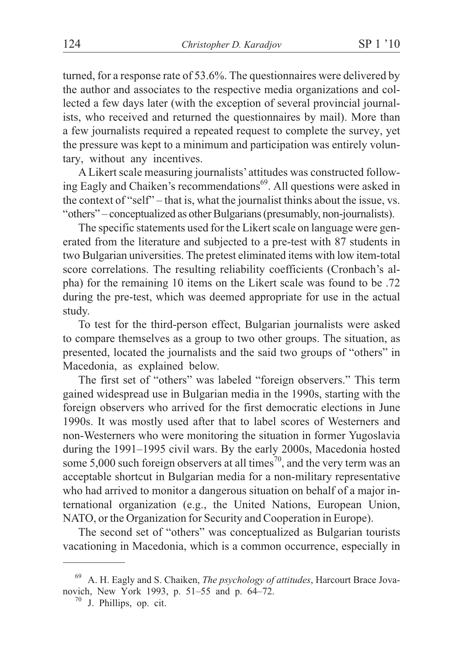turned, for a response rate of 53.6%. The questionnaires were delivered by the author and associates to the respective media organizations and collected a few days later (with the exception of several provincial journalists, who received and returned the questionnaires by mail). More than a few journalists required a repeated request to complete the survey, yet the pressure was kept to a minimum and participation was entirely voluntary, without any incentives.

A Likert scale measuring journalists' attitudes was constructed following Eagly and Chaiken's recommendations<sup>69</sup>. All questions were asked in the context of "self" – that is, what the journalist thinks about the issue, vs. "others" – conceptualized as other Bulgarians (presumably, non-journalists).

The specific statements used for the Likert scale on language were generated from the literature and subjected to a pre-test with 87 students in two Bulgarian universities. The pretest eliminated items with low item-total score correlations. The resulting reliability coefficients (Cronbach's alpha) for the remaining 10 items on the Likert scale was found to be .72 during the pre-test, which was deemed appropriate for use in the actual study.

To test for the third-person effect, Bulgarian journalists were asked to compare themselves as a group to two other groups. The situation, as presented, located the journalists and the said two groups of "others" in Macedonia, as explained below.

The first set of "others" was labeled "foreign observers." This term gained widespread use in Bulgarian media in the 1990s, starting with the foreign observers who arrived for the first democratic elections in June 1990s. It was mostly used after that to label scores of Westerners and non-Westerners who were monitoring the situation in former Yugoslavia during the 1991–1995 civil wars. By the early 2000s, Macedonia hosted some 5,000 such foreign observers at all times<sup>70</sup>, and the very term was an acceptable shortcut in Bulgarian media for a non-military representative who had arrived to monitor a dangerous situation on behalf of a major international organization (e.g., the United Nations, European Union, NATO, or the Organization for Security and Cooperation in Europe).

The second set of "others" was conceptualized as Bulgarian tourists vacationing in Macedonia, which is a common occurrence, especially in

<sup>69</sup> A. H. Eagly and S. Chaiken, *The psychology of attitudes*, Harcourt Brace Jovanovich, New York 1993, p. 51–55 and p. 64–72.<br><sup>70</sup> J. Phillips, op. cit.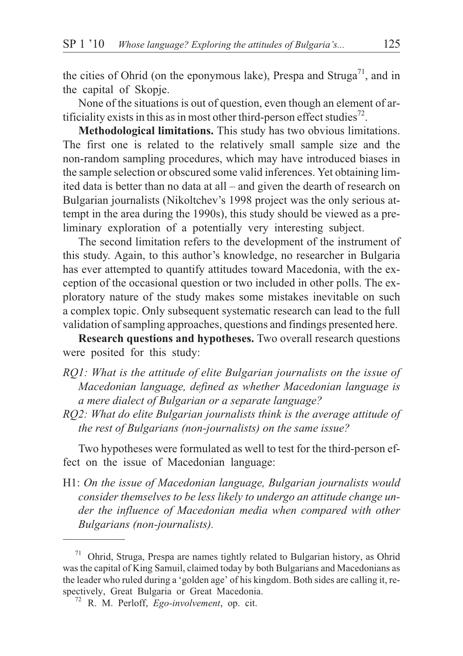the cities of Ohrid (on the eponymous lake), Prespa and Struga<sup>71</sup>, and in the capital of Skopje.

None of the situations is out of question, even though an element of artificiality exists in this as in most other third-person effect studies<sup>72</sup>.

**Methodological limitations.** This study has two obvious limitations. The first one is related to the relatively small sample size and the non-random sampling procedures, which may have introduced biases in the sample selection or obscured some valid inferences. Yet obtaining limited data is better than no data at all – and given the dearth of research on Bulgarian journalists (Nikoltchev's 1998 project was the only serious attempt in the area during the 1990s), this study should be viewed as a preliminary exploration of a potentially very interesting subject.

The second limitation refers to the development of the instrument of this study. Again, to this author's knowledge, no researcher in Bulgaria has ever attempted to quantify attitudes toward Macedonia, with the exception of the occasional question or two included in other polls. The exploratory nature of the study makes some mistakes inevitable on such a complex topic. Only subsequent systematic research can lead to the full validation of sampling approaches, questions and findings presented here.

**Research questions and hypotheses.** Two overall research questions were posited for this study:

- *RQ1: What is the attitude of elite Bulgarian journalists on the issue of Macedonian language, defined as whether Macedonian language is a mere dialect of Bulgarian or a separate language?*
- *RQ2: What do elite Bulgarian journalists think is the average attitude of the rest of Bulgarians (non-journalists) on the same issue?*

Two hypotheses were formulated as well to test for the third-person effect on the issue of Macedonian language:

H1: *On the issue of Macedonian language, Bulgarian journalists would consider themselves to be less likely to undergo an attitude change under the influence of Macedonian media when compared with other Bulgarians (non-journalists).*

<sup>71</sup> Ohrid, Struga, Prespa are names tightly related to Bulgarian history, as Ohrid was the capital of King Samuil, claimed today by both Bulgarians and Macedonians as the leader who ruled during a 'golden age' of his kingdom. Both sides are calling it, respectively, Great Bulgaria or Great Macedonia. <sup>72</sup> R. M. Perloff, *Ego-involvement*, op. cit.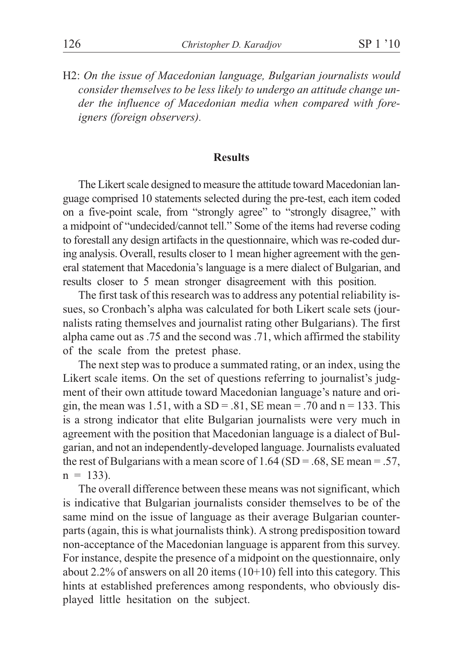H2: *On the issue of Macedonian language, Bulgarian journalists would consider themselves to be less likely to undergo an attitude change under the influence of Macedonian media when compared with foreigners (foreign observers).*

#### **Results**

The Likert scale designed to measure the attitude toward Macedonian language comprised 10 statements selected during the pre-test, each item coded on a five-point scale, from "strongly agree" to "strongly disagree," with a midpoint of "undecided/cannot tell." Some of the items had reverse coding to forestall any design artifacts in the questionnaire, which was re-coded during analysis. Overall, results closer to 1 mean higher agreement with the general statement that Macedonia's language is a mere dialect of Bulgarian, and results closer to 5 mean stronger disagreement with this position.

The first task of this research was to address any potential reliability issues, so Cronbach's alpha was calculated for both Likert scale sets (journalists rating themselves and journalist rating other Bulgarians). The first alpha came out as .75 and the second was .71, which affirmed the stability of the scale from the pretest phase.

The next step was to produce a summated rating, or an index, using the Likert scale items. On the set of questions referring to journalist's judgment of their own attitude toward Macedonian language's nature and origin, the mean was 1.51, with a  $SD = .81$ ,  $SE$  mean = .70 and n = 133. This is a strong indicator that elite Bulgarian journalists were very much in agreement with the position that Macedonian language is a dialect of Bulgarian, and not an independently-developed language. Journalists evaluated the rest of Bulgarians with a mean score of  $1.64$  (SD = .68, SE mean = .57,  $n = 133$ ).

The overall difference between these means was not significant, which is indicative that Bulgarian journalists consider themselves to be of the same mind on the issue of language as their average Bulgarian counterparts (again, this is what journalists think). A strong predisposition toward non-acceptance of the Macedonian language is apparent from this survey. For instance, despite the presence of a midpoint on the questionnaire, only about 2.2% of answers on all 20 items  $(10+10)$  fell into this category. This hints at established preferences among respondents, who obviously displayed little hesitation on the subject.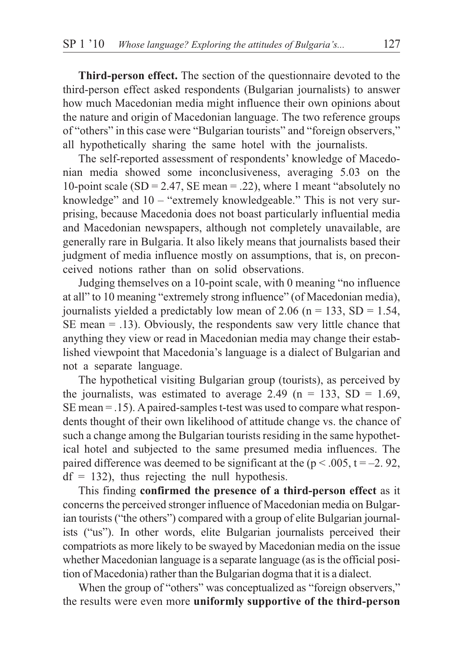**Third-person effect.** The section of the questionnaire devoted to the third-person effect asked respondents (Bulgarian journalists) to answer how much Macedonian media might influence their own opinions about the nature and origin of Macedonian language. The two reference groups of "others" in this case were "Bulgarian tourists" and "foreign observers," all hypothetically sharing the same hotel with the journalists.

The self-reported assessment of respondents' knowledge of Macedonian media showed some inconclusiveness, averaging 5.03 on the 10-point scale (SD = 2.47, SE mean = .22), where 1 meant "absolutely no knowledge" and 10 – "extremely knowledgeable." This is not very surprising, because Macedonia does not boast particularly influential media and Macedonian newspapers, although not completely unavailable, are generally rare in Bulgaria. It also likely means that journalists based their judgment of media influence mostly on assumptions, that is, on preconceived notions rather than on solid observations.

Judging themselves on a 10-point scale, with 0 meaning "no influence at all" to 10 meaning "extremely strong influence" (of Macedonian media), journalists yielded a predictably low mean of 2.06 ( $n = 133$ , SD = 1.54, SE mean = .13). Obviously, the respondents saw very little chance that anything they view or read in Macedonian media may change their established viewpoint that Macedonia's language is a dialect of Bulgarian and not a separate language.

The hypothetical visiting Bulgarian group (tourists), as perceived by the journalists, was estimated to average 2.49 ( $n = 133$ , SD = 1.69, SE mean = .15). Apaired-samples t-test was used to compare what respondents thought of their own likelihood of attitude change vs. the chance of such a change among the Bulgarian tourists residing in the same hypothetical hotel and subjected to the same presumed media influences. The paired difference was deemed to be significant at the ( $p < .005$ ,  $t = -2.92$ ,  $df = 132$ ), thus rejecting the null hypothesis.

This finding **confirmed the presence of a third-person effect** as it concerns the perceived stronger influence of Macedonian media on Bulgarian tourists ("the others") compared with a group of elite Bulgarian journalists ("us"). In other words, elite Bulgarian journalists perceived their compatriots as more likely to be swayed by Macedonian media on the issue whether Macedonian language is a separate language (as is the official position of Macedonia) rather than the Bulgarian dogma that it is a dialect.

When the group of "others" was conceptualized as "foreign observers," the results were even more **uniformly supportive of the third-person**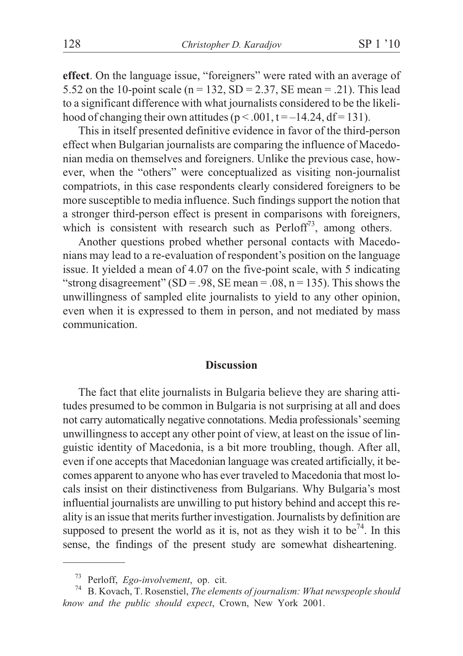**effect**. On the language issue, "foreigners" were rated with an average of 5.52 on the 10-point scale ( $n = 132$ , SD = 2.37, SE mean = .21). This lead to a significant difference with what journalists considered to be the likelihood of changing their own attitudes ( $p < .001$ ,  $t = -14.24$ , df = 131).

This in itself presented definitive evidence in favor of the third-person effect when Bulgarian journalists are comparing the influence of Macedonian media on themselves and foreigners. Unlike the previous case, however, when the "others" were conceptualized as visiting non-journalist compatriots, in this case respondents clearly considered foreigners to be more susceptible to media influence. Such findings support the notion that a stronger third-person effect is present in comparisons with foreigners, which is consistent with research such as  $Perloff<sup>73</sup>$ , among others.

Another questions probed whether personal contacts with Macedonians may lead to a re-evaluation of respondent's position on the language issue. It yielded a mean of 4.07 on the five-point scale, with 5 indicating "strong disagreement" (SD = .98, SE mean = .08, n = 135). This shows the unwillingness of sampled elite journalists to yield to any other opinion, even when it is expressed to them in person, and not mediated by mass communication.

#### **Discussion**

The fact that elite journalists in Bulgaria believe they are sharing attitudes presumed to be common in Bulgaria is not surprising at all and does not carry automatically negative connotations. Media professionals'seeming unwillingness to accept any other point of view, at least on the issue of linguistic identity of Macedonia, is a bit more troubling, though. After all, even if one accepts that Macedonian language was created artificially, it becomes apparent to anyone who has ever traveled to Macedonia that most locals insist on their distinctiveness from Bulgarians. Why Bulgaria's most influential journalists are unwilling to put history behind and accept this reality is an issue that merits further investigation. Journalists by definition are supposed to present the world as it is, not as they wish it to be<sup>74</sup>. In this sense, the findings of the present study are somewhat disheartening.

<sup>&</sup>lt;sup>73</sup> Perloff, *Ego-involvement*, op. cit.<br><sup>74</sup> B. Kovach, T. Rosenstiel, *The elements of journalism: What newspeople should know and the public should expect*, Crown, New York 2001.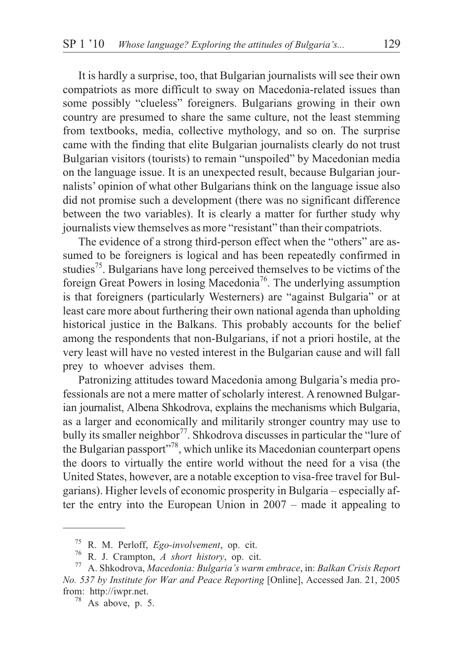It is hardly a surprise, too, that Bulgarian journalists will see their own compatriots as more difficult to sway on Macedonia-related issues than some possibly "clueless" foreigners. Bulgarians growing in their own country are presumed to share the same culture, not the least stemming from textbooks, media, collective mythology, and so on. The surprise came with the finding that elite Bulgarian journalists clearly do not trust Bulgarian visitors (tourists) to remain "unspoiled" by Macedonian media on the language issue. It is an unexpected result, because Bulgarian journalists' opinion of what other Bulgarians think on the language issue also did not promise such a development (there was no significant difference between the two variables). It is clearly a matter for further study why journalists view themselves as more "resistant" than their compatriots.

The evidence of a strong third-person effect when the "others" are assumed to be foreigners is logical and has been repeatedly confirmed in studies<sup>75</sup>. Bulgarians have long perceived themselves to be victims of the foreign Great Powers in losing Macedonia<sup>76</sup>. The underlying assumption is that foreigners (particularly Westerners) are "against Bulgaria" or at least care more about furthering their own national agenda than upholding historical justice in the Balkans. This probably accounts for the belief among the respondents that non-Bulgarians, if not a priori hostile, at the very least will have no vested interest in the Bulgarian cause and will fall prey to whoever advises them.

Patronizing attitudes toward Macedonia among Bulgaria's media professionals are not a mere matter of scholarly interest. A renowned Bulgarian journalist, Albena Shkodrova, explains the mechanisms which Bulgaria, as a larger and economically and militarily stronger country may use to bully its smaller neighbor<sup>77</sup>. Shkodrova discusses in particular the "lure of the Bulgarian passport"<sup>78</sup>, which unlike its Macedonian counterpart opens the doors to virtually the entire world without the need for a visa (the United States, however, are a notable exception to visa-free travel for Bulgarians). Higher levels of economic prosperity in Bulgaria – especially after the entry into the European Union in 2007 – made it appealing to

<sup>75</sup> R. M. Perloff, *Ego-involvement*, op. cit. <sup>76</sup> R. J. Crampton, *A short history*, op. cit. <sup>77</sup> A. Shkodrova, *Macedonia: Bulgaria's warm embrace*, in: *Balkan Crisis Report No. 537 by Institute for War and Peace Reporting* [Online], Accessed Jan. 21, 2005 from: http://iwpr.net. <sup>78</sup> As above, p. 5.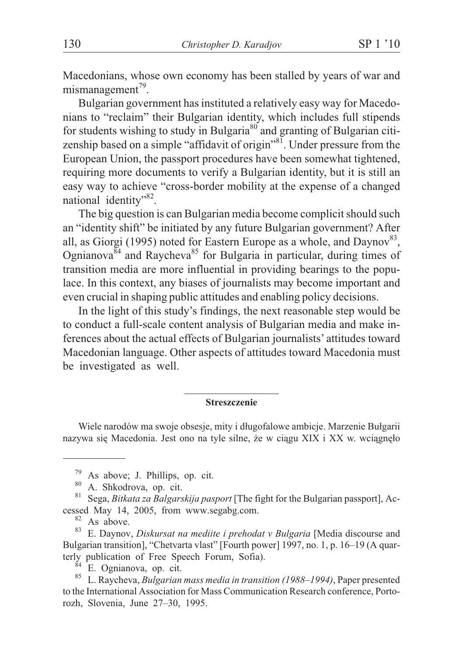Macedonians, whose own economy has been stalled by years of war and  $mismanagement^{79}$ .

Bulgarian government has instituted a relatively easy way for Macedonians to "reclaim" their Bulgarian identity, which includes full stipends for students wishing to study in Bulgaria<sup>80</sup> and granting of Bulgarian citizenship based on a simple "affidavit of origin"<sup>81</sup>. Under pressure from the European Union, the passport procedures have been somewhat tightened, requiring more documents to verify a Bulgarian identity, but it is still an easy way to achieve "cross-border mobility at the expense of a changed national identity"<sup>82</sup>.

The big question is can Bulgarian media become complicit should such an "identity shift" be initiated by any future Bulgarian government? After all, as Giorgi (1995) noted for Eastern Europe as a whole, and Daynov<sup>83</sup>, Ognianova $84$  and Raycheva<sup>85</sup> for Bulgaria in particular, during times of transition media are more influential in providing bearings to the populace. In this context, any biases of journalists may become important and even crucial in shaping public attitudes and enabling policy decisions.

In the light of this study's findings, the next reasonable step would be to conduct a full-scale content analysis of Bulgarian media and make inferences about the actual effects of Bulgarian journalists' attitudes toward Macedonian language. Other aspects of attitudes toward Macedonia must be investigated as well.

#### **Streszczenie**

Wiele narodów ma swoje obsesje, mity i długofalowe ambicje. Marzenie Bułgarii nazywa się Macedonia. Jest ono na tyle silne, że w ciągu XIX i XX w. wciągnęło

<sup>&</sup>lt;sup>79</sup> As above; J. Phillips, op. cit.<br><sup>80</sup> A. Shkodrova, op. cit. 81 Sega, *Bitkata za Balgarskija pasport* [The fight for the Bulgarian passport], Ac-

cessed May 14, 2005, from www.segabg.com.<br><sup>82</sup> As above.<br><sup>83</sup> E. Daynov, *Diskursat na mediite i prehodat v Bulgaria* [Media discourse and Bulgarian transition], "Chetvarta vlast" [Fourth power] 1997, no. 1, p. 16–19 (A quarterly publication of Free Speech Forum, Sofia). <sup>84</sup> E. Ognianova, op. cit. <sup>85</sup> L. Raycheva, *Bulgarian mass media in transition (1988–1994)*, Paper presented

to the International Association for Mass Communication Research conference, Portorozh, Slovenia, June 27–30, 1995.